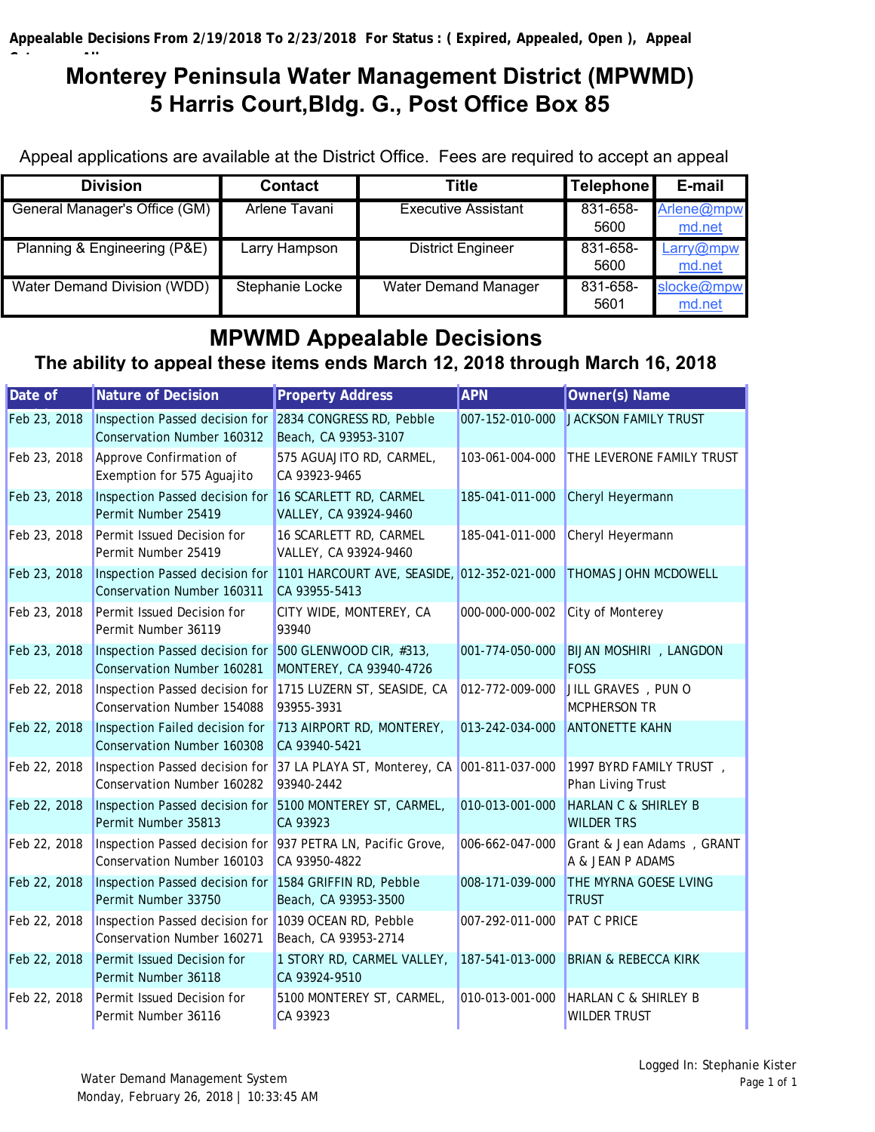### **C** the Allan State of the Allan **Monterey Peninsula Water Management District (MPWMD) 5 Harris Court,Bldg. G., Post Office Box 85**

Appeal applications are available at the District Office. Fees are required to accept an appeal

| <b>Division</b>               | <b>Contact</b>  | Title                       | <b>Telephone</b> | E-mail               |
|-------------------------------|-----------------|-----------------------------|------------------|----------------------|
| General Manager's Office (GM) | Arlene Tavani   | Executive Assistant         | 831-658-<br>5600 | Arlene@mpw<br>md.net |
| Planning & Engineering (P&E)  | Larry Hampson   | <b>District Engineer</b>    | 831-658-<br>5600 | Larry@mpw<br>md.net  |
| Water Demand Division (WDD)   | Stephanie Locke | <b>Water Demand Manager</b> | 831-658-<br>5601 | slocke@mpw<br>md.net |

# **MPWMD Appealable Decisions**

## **The ability to appeal these items ends March 12, 2018 through March 16, 2018**

| Date of      | <b>Nature of Decision</b>                                                                        | <b>Property Address</b>                                      | <b>APN</b>      | Owner(s) Name                                          |
|--------------|--------------------------------------------------------------------------------------------------|--------------------------------------------------------------|-----------------|--------------------------------------------------------|
| Feb 23, 2018 | Inspection Passed decision for<br><b>Conservation Number 160312</b>                              | 2834 CONGRESS RD, Pebble<br>Beach, CA 93953-3107             | 007-152-010-000 | <b>JACKSON FAMILY TRUST</b>                            |
| Feb 23, 2018 | Approve Confirmation of<br>Exemption for 575 Aguajito                                            | 575 AGUAJITO RD, CARMEL,<br>CA 93923-9465                    | 103-061-004-000 | THE LEVERONE FAMILY TRUST                              |
| Feb 23, 2018 | Inspection Passed decision for<br>Permit Number 25419                                            | 16 SCARLETT RD, CARMEL<br>VALLEY, CA 93924-9460              | 185-041-011-000 | Cheryl Heyermann                                       |
| Feb 23, 2018 | Permit Issued Decision for<br>Permit Number 25419                                                | 16 SCARLETT RD, CARMEL<br>VALLEY, CA 93924-9460              | 185-041-011-000 | Cheryl Heyermann                                       |
| Feb 23, 2018 | Inspection Passed decision for<br><b>Conservation Number 160311</b>                              | 1101 HARCOURT AVE, SEASIDE, 012-352-021-000<br>CA 93955-5413 |                 | <b>THOMAS JOHN MCDOWELL</b>                            |
| Feb 23, 2018 | Permit Issued Decision for<br>Permit Number 36119                                                | CITY WIDE, MONTEREY, CA<br>93940                             | 000-000-000-002 | City of Monterey                                       |
| Feb 23, 2018 | Inspection Passed decision for<br><b>Conservation Number 160281</b>                              | 500 GLENWOOD CIR, #313,<br>MONTEREY, CA 93940-4726           | 001-774-050-000 | <b>BIJAN MOSHIRI</b> , LANGDON<br><b>FOSS</b>          |
| Feb 22, 2018 | Inspection Passed decision for<br><b>Conservation Number 154088</b>                              | 1715 LUZERN ST, SEASIDE, CA<br>93955-3931                    | 012-772-009-000 | JILL GRAVES , PUN O<br><b>MCPHERSON TR</b>             |
| Feb 22, 2018 | Inspection Failed decision for<br><b>Conservation Number 160308</b>                              | 713 AIRPORT RD, MONTEREY,<br>CA 93940-5421                   | 013-242-034-000 | <b>ANTONETTE KAHN</b>                                  |
| Feb 22, 2018 | Inspection Passed decision for<br>Conservation Number 160282                                     | 37 LA PLAYA ST, Monterey, CA 001-811-037-000<br>93940-2442   |                 | 1997 BYRD FAMILY TRUST,<br>Phan Living Trust           |
| Feb 22, 2018 | Inspection Passed decision for<br>Permit Number 35813                                            | 5100 MONTEREY ST, CARMEL,<br>CA 93923                        | 010-013-001-000 | <b>HARLAN C &amp; SHIRLEY B</b><br><b>WILDER TRS</b>   |
| Feb 22, 2018 | Inspection Passed decision for 937 PETRA LN, Pacific Grove,<br><b>Conservation Number 160103</b> | CA 93950-4822                                                | 006-662-047-000 | Grant & Jean Adams, GRANT<br>A & JEAN P ADAMS          |
| Feb 22, 2018 | Inspection Passed decision for<br>Permit Number 33750                                            | 1584 GRIFFIN RD, Pebble<br>Beach, CA 93953-3500              | 008-171-039-000 | THE MYRNA GOESE LVING<br><b>TRUST</b>                  |
| Feb 22, 2018 | Inspection Passed decision for<br>Conservation Number 160271                                     | 1039 OCEAN RD, Pebble<br>Beach, CA 93953-2714                | 007-292-011-000 | <b>PAT C PRICE</b>                                     |
| Feb 22, 2018 | Permit Issued Decision for<br>Permit Number 36118                                                | 1 STORY RD, CARMEL VALLEY,<br>CA 93924-9510                  | 187-541-013-000 | <b>BRIAN &amp; REBECCA KIRK</b>                        |
| Feb 22, 2018 | Permit Issued Decision for<br>Permit Number 36116                                                | 5100 MONTEREY ST, CARMEL,<br>CA 93923                        | 010-013-001-000 | <b>HARLAN C &amp; SHIRLEY B</b><br><b>WILDER TRUST</b> |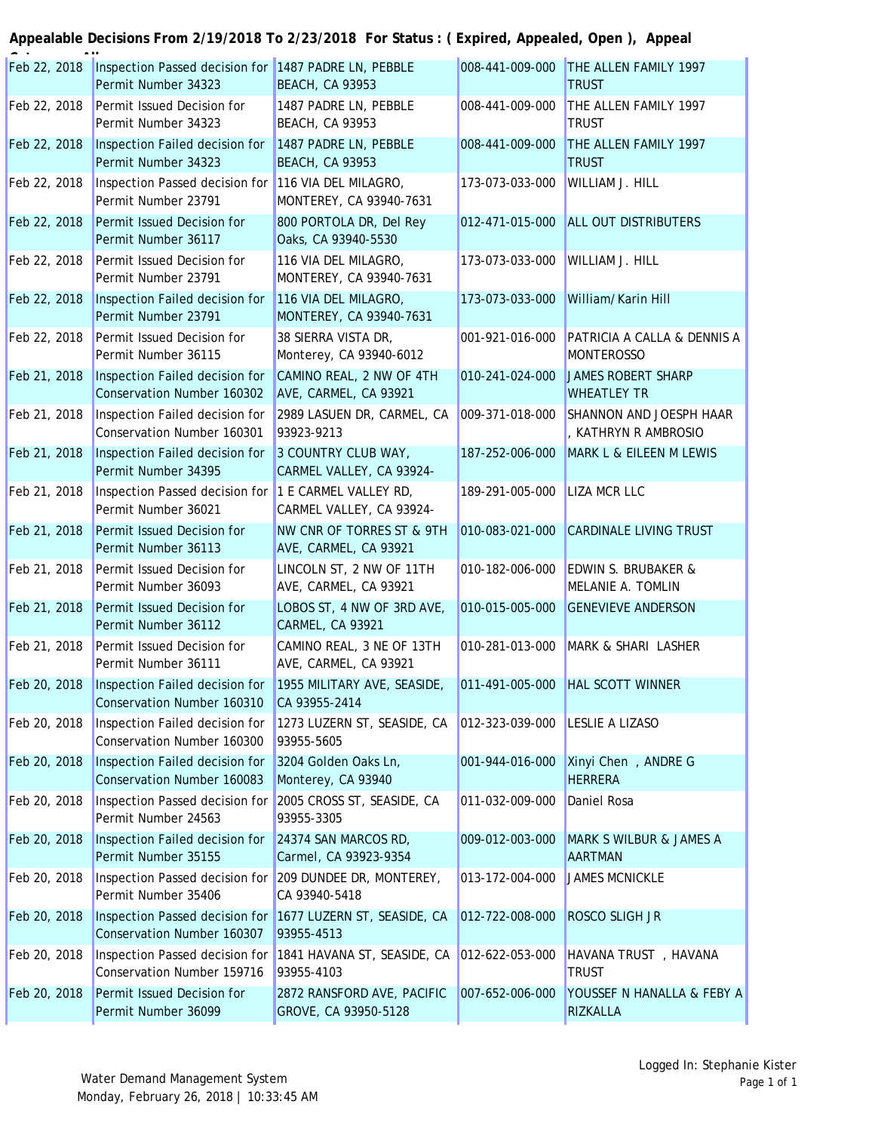#### **Appealable Decisions From 2/19/2018 To 2/23/2018 For Status : ( Expired, Appealed, Open ), Appeal**

| Feb 22, 2018 | Inspection Passed decision for 1487 PADRE LN, PEBBLE<br>Permit Number 34323 | <b>BEACH, CA 93953</b>                                | 008-441-009-000 | THE ALLEN FAMILY 1997<br><b>TRUST</b>               |
|--------------|-----------------------------------------------------------------------------|-------------------------------------------------------|-----------------|-----------------------------------------------------|
| Feb 22, 2018 | Permit Issued Decision for<br>Permit Number 34323                           | 1487 PADRE LN, PEBBLE<br><b>BEACH, CA 93953</b>       | 008-441-009-000 | THE ALLEN FAMILY 1997<br><b>TRUST</b>               |
| Feb 22, 2018 | Inspection Failed decision for<br>Permit Number 34323                       | 1487 PADRE LN, PEBBLE<br><b>BEACH, CA 93953</b>       | 008-441-009-000 | THE ALLEN FAMILY 1997<br><b>TRUST</b>               |
| Feb 22, 2018 | Inspection Passed decision for<br>Permit Number 23791                       | 116 VIA DEL MILAGRO,<br>MONTEREY, CA 93940-7631       | 173-073-033-000 | WILLIAM J. HILL                                     |
| Feb 22, 2018 | Permit Issued Decision for<br>Permit Number 36117                           | 800 PORTOLA DR, Del Rey<br>Oaks, CA 93940-5530        | 012-471-015-000 | <b>ALL OUT DISTRIBUTERS</b>                         |
| Feb 22, 2018 | Permit Issued Decision for<br>Permit Number 23791                           | 116 VIA DEL MILAGRO,<br>MONTEREY, CA 93940-7631       | 173-073-033-000 | <b>WILLIAM J. HILL</b>                              |
| Feb 22, 2018 | Inspection Failed decision for<br>Permit Number 23791                       | 116 VIA DEL MILAGRO,<br>MONTEREY, CA 93940-7631       | 173-073-033-000 | William/Karin Hill                                  |
| Feb 22, 2018 | Permit Issued Decision for<br>Permit Number 36115                           | 38 SIERRA VISTA DR,<br>Monterey, CA 93940-6012        | 001-921-016-000 | PATRICIA A CALLA & DENNIS A<br><b>MONTEROSSO</b>    |
| Feb 21, 2018 | Inspection Failed decision for<br>Conservation Number 160302                | CAMINO REAL, 2 NW OF 4TH<br>AVE, CARMEL, CA 93921     | 010-241-024-000 | <b>JAMES ROBERT SHARP</b><br><b>WHEATLEY TR</b>     |
| Feb 21, 2018 | Inspection Failed decision for<br>Conservation Number 160301                | 2989 LASUEN DR, CARMEL, CA<br>93923-9213              | 009-371-018-000 | SHANNON AND JOESPH HAAR<br>, KATHRYN R AMBROSIO     |
| Feb 21, 2018 | Inspection Failed decision for<br>Permit Number 34395                       | 3 COUNTRY CLUB WAY,<br>CARMEL VALLEY, CA 93924-       | 187-252-006-000 | MARK L & EILEEN M LEWIS                             |
| Feb 21, 2018 | Inspection Passed decision for<br>Permit Number 36021                       | 1 E CARMEL VALLEY RD,<br>CARMEL VALLEY, CA 93924-     | 189-291-005-000 | <b>LIZA MCR LLC</b>                                 |
| Feb 21, 2018 | Permit Issued Decision for<br>Permit Number 36113                           | NW CNR OF TORRES ST & 9TH<br>AVE, CARMEL, CA 93921    | 010-083-021-000 | <b>CARDINALE LIVING TRUST</b>                       |
| Feb 21, 2018 | Permit Issued Decision for<br>Permit Number 36093                           | LINCOLN ST, 2 NW OF 11TH<br>AVE, CARMEL, CA 93921     | 010-182-006-000 | <b>EDWIN S. BRUBAKER &amp;</b><br>MELANIE A. TOMLIN |
| Feb 21, 2018 | Permit Issued Decision for<br>Permit Number 36112                           | LOBOS ST, 4 NW OF 3RD AVE,<br><b>CARMEL, CA 93921</b> | 010-015-005-000 | <b>GENEVIEVE ANDERSON</b>                           |
| Feb 21, 2018 | Permit Issued Decision for<br>Permit Number 36111                           | CAMINO REAL, 3 NE OF 13TH<br>AVE, CARMEL, CA 93921    | 010-281-013-000 | MARK & SHARI LASHER                                 |
| Feb 20, 2018 | Inspection Failed decision for<br>Conservation Number 160310                | 1955 MILITARY AVE, SEASIDE,<br>CA 93955-2414          |                 | 011-491-005-000 HAL SCOTT WINNER                    |
| Feb 20, 2018 | Inspection Failed decision for<br>Conservation Number 160300                | 1273 LUZERN ST, SEASIDE, CA<br>93955-5605             | 012-323-039-000 | <b>LESLIE A LIZASO</b>                              |
| Feb 20, 2018 | Inspection Failed decision for<br>Conservation Number 160083                | 3204 Golden Oaks Ln,<br>Monterey, CA 93940            | 001-944-016-000 | Xinyi Chen , ANDRE G<br><b>HERRERA</b>              |
| Feb 20, 2018 | Inspection Passed decision for<br>Permit Number 24563                       | 2005 CROSS ST, SEASIDE, CA<br>93955-3305              | 011-032-009-000 | Daniel Rosa                                         |
| Feb 20, 2018 | Inspection Failed decision for<br>Permit Number 35155                       | 24374 SAN MARCOS RD,<br>Carmel, CA 93923-9354         | 009-012-003-000 | MARK S WILBUR & JAMES A<br><b>AARTMAN</b>           |
| Feb 20, 2018 | Inspection Passed decision for<br>Permit Number 35406                       | 209 DUNDEE DR, MONTEREY,<br>CA 93940-5418             | 013-172-004-000 | <b>JAMES MCNICKLE</b>                               |
| Feb 20, 2018 | Inspection Passed decision for<br>Conservation Number 160307                | 1677 LUZERN ST, SEASIDE, CA<br>93955-4513             | 012-722-008-000 | ROSCO SLIGH JR                                      |
| Feb 20, 2018 | Inspection Passed decision for<br>Conservation Number 159716                | 1841 HAVANA ST, SEASIDE, CA<br>93955-4103             | 012-622-053-000 | HAVANA TRUST, HAVANA<br><b>TRUST</b>                |
| Feb 20, 2018 | Permit Issued Decision for<br>Permit Number 36099                           | 2872 RANSFORD AVE, PACIFIC<br>GROVE, CA 93950-5128    | 007-652-006-000 | YOUSSEF N HANALLA & FEBY A<br>RIZKALLA              |
|              |                                                                             |                                                       |                 |                                                     |